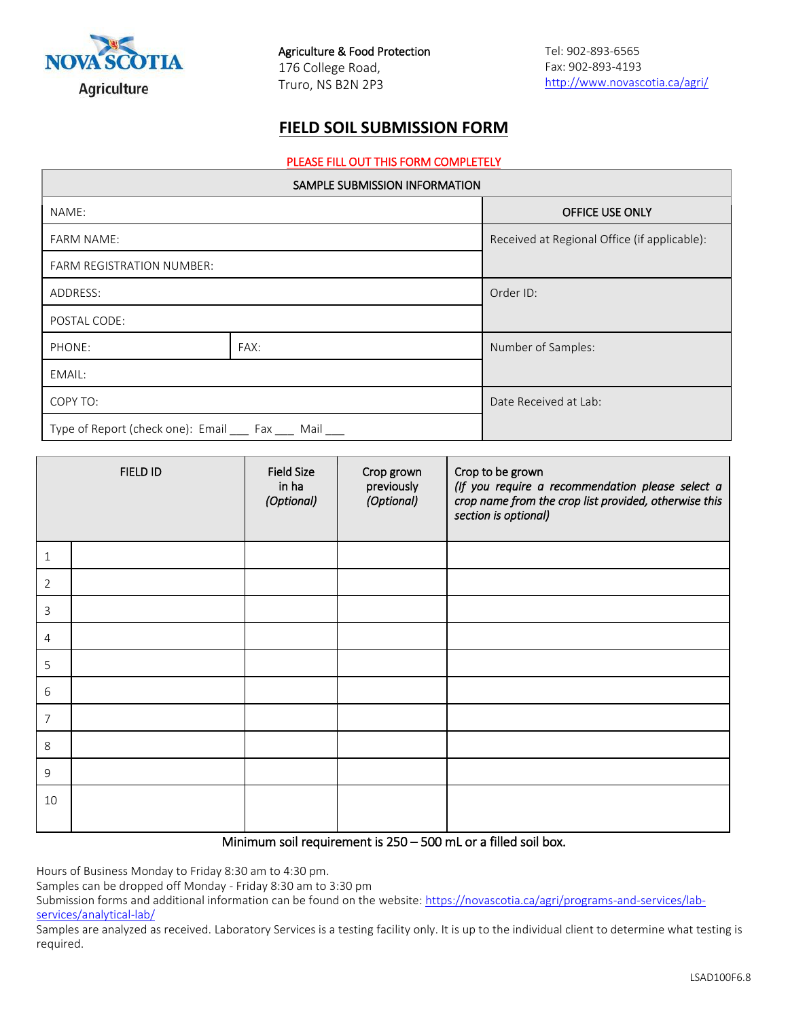

## **FIELD SOIL SUBMISSION FORM**

#### PLEASE FILL OUT THIS FORM COMPLETELY

| SAMPLE SUBMISSION INFORMATION                               |      |                                              |  |  |
|-------------------------------------------------------------|------|----------------------------------------------|--|--|
| NAME:                                                       |      | OFFICE USE ONLY                              |  |  |
| <b>FARM NAME:</b>                                           |      | Received at Regional Office (if applicable): |  |  |
| <b>FARM REGISTRATION NUMBER:</b>                            |      |                                              |  |  |
| ADDRESS:                                                    |      | Order ID:                                    |  |  |
| POSTAL CODE:                                                |      |                                              |  |  |
| PHONE:                                                      | FAX: | Number of Samples:                           |  |  |
| EMAIL:                                                      |      |                                              |  |  |
| COPY TO:                                                    |      | Date Received at Lab:                        |  |  |
| Type of Report (check one): Email _____ Fax _____ Mail ____ |      |                                              |  |  |

|                | FIELD ID | <b>Field Size</b><br>in ha<br>(Optional) | Crop grown<br>previously<br>(Optional) | Crop to be grown<br>(If you require a recommendation please select a<br>crop name from the crop list provided, otherwise this<br>section is optional) |
|----------------|----------|------------------------------------------|----------------------------------------|-------------------------------------------------------------------------------------------------------------------------------------------------------|
| 1              |          |                                          |                                        |                                                                                                                                                       |
| 2              |          |                                          |                                        |                                                                                                                                                       |
| 3              |          |                                          |                                        |                                                                                                                                                       |
| 4              |          |                                          |                                        |                                                                                                                                                       |
| 5              |          |                                          |                                        |                                                                                                                                                       |
| $6\,$          |          |                                          |                                        |                                                                                                                                                       |
| $\overline{7}$ |          |                                          |                                        |                                                                                                                                                       |
| 8              |          |                                          |                                        |                                                                                                                                                       |
| $\mathsf 9$    |          |                                          |                                        |                                                                                                                                                       |
| 10             |          |                                          |                                        |                                                                                                                                                       |

### Minimum soil requirement is 250 – 500 mL or a filled soil box.

Hours of Business Monday to Friday 8:30 am to 4:30 pm.

Samples can be dropped off Monday - Friday 8:30 am to 3:30 pm

Submission forms and additional information can be found on the website: [https://novascotia.ca/agri/programs-and-services/lab](https://novascotia.ca/agri/programs-and-services/lab-services/analytical-lab/)[services/analytical-lab/](https://novascotia.ca/agri/programs-and-services/lab-services/analytical-lab/)

Samples are analyzed as received. Laboratory Services is a testing facility only. It is up to the individual client to determine what testing is required.